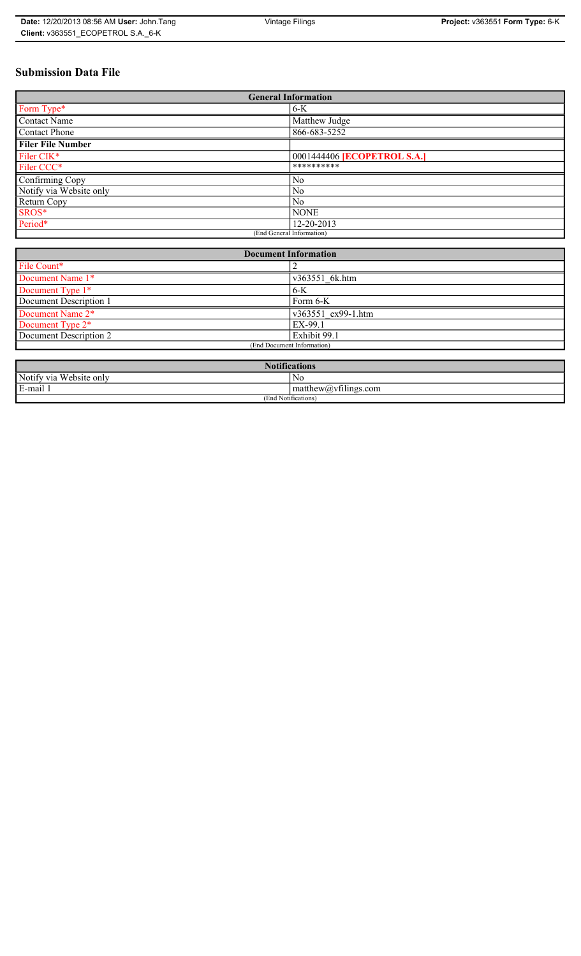| <b>Date: 12/20/2013 08:56 AM User: John Tang</b> | Vintage Filings | Project: v363551 Form Type: 6-K |
|--------------------------------------------------|-----------------|---------------------------------|
| Client: v363551 ECOPETROL S.A. 6-K               |                 |                                 |

# **Submission Data File**

| <b>General Information</b> |                             |  |  |
|----------------------------|-----------------------------|--|--|
| Form Type*                 | $6-K$                       |  |  |
| <b>Contact Name</b>        | Matthew Judge               |  |  |
| <b>Contact Phone</b>       | 866-683-5252                |  |  |
| <b>Filer File Number</b>   |                             |  |  |
| Filer CIK*                 | 0001444406 [ECOPETROL S.A.] |  |  |
| Filer CCC*                 | **********                  |  |  |
| Confirming Copy            | No                          |  |  |
| Notify via Website only    | N <sub>0</sub>              |  |  |
| Return Copy                | No                          |  |  |
| SROS*                      | <b>NONE</b>                 |  |  |
| Period*                    | 12-20-2013                  |  |  |
| (End General Information)  |                             |  |  |

| <b>Document Information</b>  |                    |  |
|------------------------------|--------------------|--|
| File Count*                  |                    |  |
| Document Name 1*             | v363551 6k.htm     |  |
| Document Type 1*             | $6-K$              |  |
| Document Description 1       | Form 6-K           |  |
| Document Name 2 <sup>*</sup> | v363551 ex99-1.htm |  |
| Document Type 2*             | EX-99.1            |  |
| Document Description 2       | Exhibit 99.1       |  |
| (End Document Information)   |                    |  |
|                              |                    |  |

| <b>Notii</b><br>$\sqrt{2}$<br>ntications |                                                                 |  |  |
|------------------------------------------|-----------------------------------------------------------------|--|--|
| Notify via<br>Website only               | N0                                                              |  |  |
| E-mail 1                                 | $\sim$ $+$<br>$\mathsf{matrix}(a)$ matthew $\mathsf{matrix}(a)$ |  |  |
| (End Notifications)                      |                                                                 |  |  |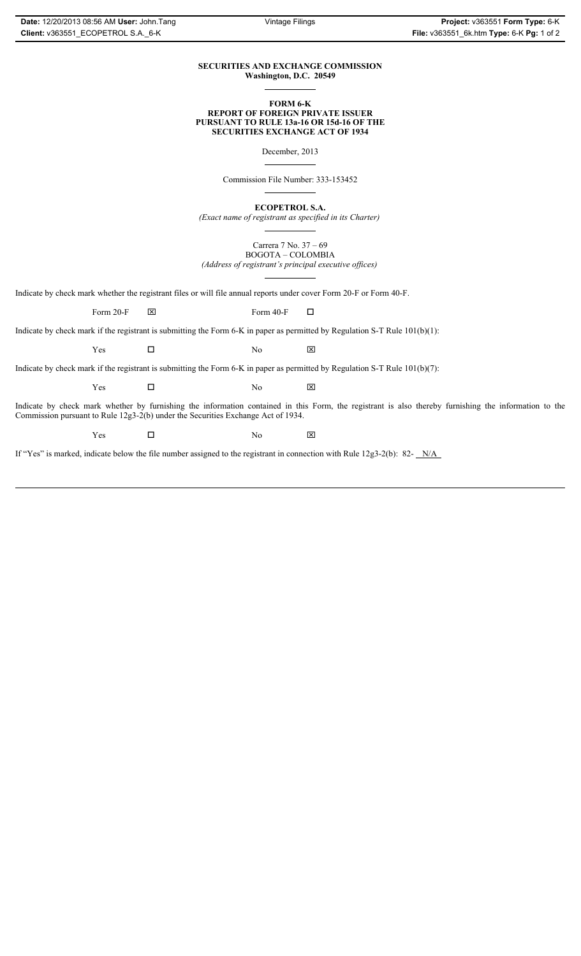### **SECURITIES AND EXCHANGE COMMISSION Washington, D.C. 20549**

### **FORM 6-K REPORT OF FOREIGN PRIVATE ISSUER PURSUANT TO RULE 13a-16 OR 15d-16 OF THE SECURITIES EXCHANGE ACT OF 1934**

December, 2013

Commission File Number: 333-153452

**ECOPETROL S.A.**

*(Exact name of registrant as specified in its Charter)*

Carrera 7 No. 37 – 69 BOGOTA – COLOMBIA *(Address of registrant's principal executive offices)*

Indicate by check mark whether the registrant files or will file annual reports under cover Form 20-F or Form 40-F.

Form 20-F  $\boxtimes$  Form 40-F  $\Box$ 

Indicate by check mark if the registrant is submitting the Form 6-K in paper as permitted by Regulation S-T Rule 101(b)(1):

 $Yes$   $\Box$  No  $X$ 

Indicate by check mark if the registrant is submitting the Form 6-K in paper as permitted by Regulation S-T Rule 101(b)(7):

 $Yes$   $\Box$  No  $X$ 

Indicate by check mark whether by furnishing the information contained in this Form, the registrant is also thereby furnishing the information to the Commission pursuant to Rule 12g3-2(b) under the Securities Exchange Act of 1934.

 $Yes$   $\Box$  No  $X$ 

If "Yes" is marked, indicate below the file number assigned to the registrant in connection with Rule 12g3-2(b): 82- N/A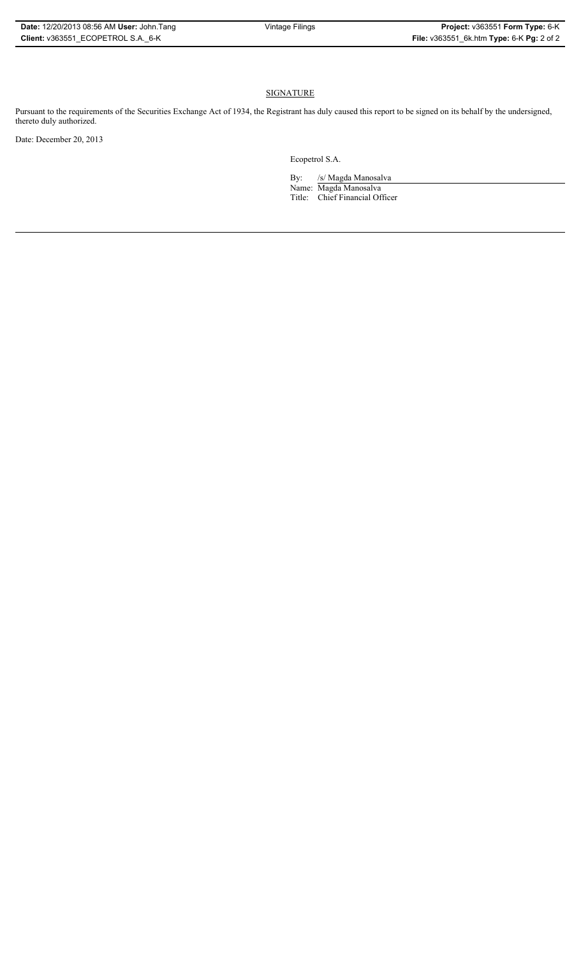## **SIGNATURE**

Pursuant to the requirements of the Securities Exchange Act of 1934, the Registrant has duly caused this report to be signed on its behalf by the undersigned, thereto duly authorized.

Date: December 20, 2013

Ecopetrol S.A.

By: /s/ Magda Manosalva Name: Magda Manosalva Title: Chief Financial Officer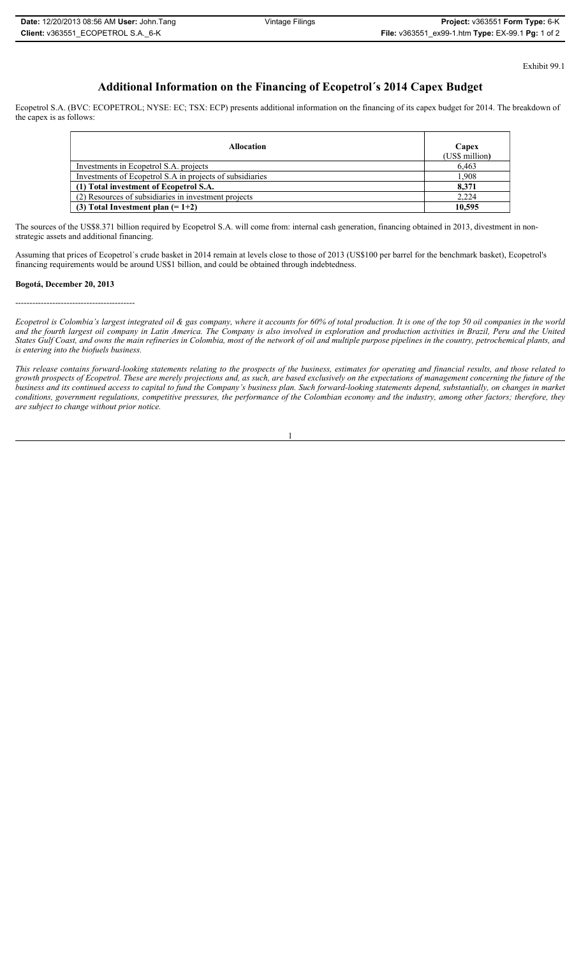Exhibit 99.1

## **Additional Information on the Financing of Ecopetrol´s 2014 Capex Budget**

Ecopetrol S.A. (BVC: ECOPETROL; NYSE: EC; TSX: ECP) presents additional information on the financing of its capex budget for 2014. The breakdown of the capex is as follows:

| <b>Allocation</b>                                        | Capex<br>(US\$ million) |
|----------------------------------------------------------|-------------------------|
| Investments in Ecopetrol S.A. projects                   | 6.463                   |
| Investments of Ecopetrol S.A in projects of subsidiaries | 1.908                   |
| (1) Total investment of Ecopetrol S.A.                   | 8.371                   |
| (2) Resources of subsidiaries in investment projects     | 2.224                   |
| (3) Total Investment plan $(=1+2)$                       | 10.595                  |

The sources of the US\$8.371 billion required by Ecopetrol S.A. will come from: internal cash generation, financing obtained in 2013, divestment in nonstrategic assets and additional financing.

Assuming that prices of Ecopetrol´s crude basket in 2014 remain at levels close to those of 2013 (US\$100 per barrel for the benchmark basket), Ecopetrol's financing requirements would be around US\$1 billion, and could be obtained through indebtedness.

#### **Bogotá, December 20, 2013**

------------------------------------------

*Ecopetrol is Colombia's largest integrated oil & gas company, where it accounts for 60% of total production. It is one of the top 50 oil companies in the world and the fourth largest oil company in Latin America. The Company is also involved in exploration and production activities in Brazil, Peru and the United States Gulf Coast, and owns the main refineries in Colombia, most of the network of oil and multiple purpose pipelines in the country, petrochemical plants, and is entering into the biofuels business.* 

*This release contains forward-looking statements relating to the prospects of the business, estimates for operating and financial results, and those related to growth prospects of Ecopetrol. These are merely projections and, as such, are based exclusively on the expectations of management concerning the future of the business and its continued access to capital to fund the Company's business plan. Such forward-looking statements depend, substantially, on changes in market conditions, government regulations, competitive pressures, the performance of the Colombian economy and the industry, among other factors; therefore, they are subject to change without prior notice.*

1